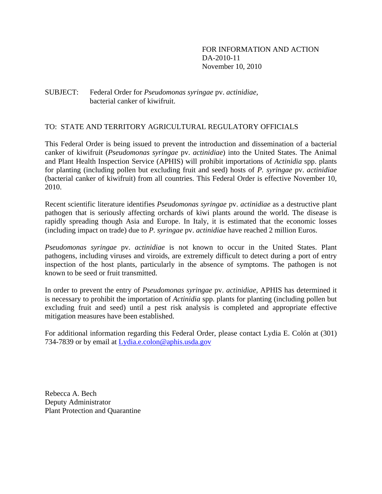### SUBJECT: Federal Order for *Pseudomonas syringae* pv. *actinidiae,*  bacterial canker of kiwifruit.

### TO: STATE AND TERRITORY AGRICULTURAL REGULATORY OFFICIALS

This Federal Order is being issued to prevent the introduction and dissemination of a bacterial canker of kiwifruit (*Pseudomonas syringae* pv. *actinidiae*) into the United States. The Animal and Plant Health Inspection Service (APHIS) will prohibit importations of *Actinidia* spp. plants for planting (including pollen but excluding fruit and seed) hosts of *P. syringae* pv. *actinidiae*  (bacterial canker of kiwifruit) from all countries. This Federal Order is effective November 10, 2010.

Recent scientific literature identifies *Pseudomonas syringae* pv. *actinidiae* as a destructive plant pathogen that is seriously affecting orchards of kiwi plants around the world. The disease is rapidly spreading though Asia and Europe. In Italy, it is estimated that the economic losses (including impact on trade) due to *P. syringae* pv. *actinidiae* have reached 2 million Euros.

*Pseudomonas syringae* pv. *actinidiae* is not known to occur in the United States. Plant pathogens, including viruses and viroids, are extremely difficult to detect during a port of entry inspection of the host plants, particularly in the absence of symptoms. The pathogen is not known to be seed or fruit transmitted.

In order to prevent the entry of *Pseudomonas syringae* pv. *actinidiae,* APHIS has determined it is necessary to prohibit the importation of *Actinidia* spp. plants for planting (including pollen but excluding fruit and seed) until a pest risk analysis is completed and appropriate effective mitigation measures have been established.

For additional information regarding this Federal Order, please contact Lydia E. Colón at (301) 734-7839 or by email at Lydia.e.colon@aphis.usda.gov

Rebecca A. Bech Deputy Administrator Plant Protection and Quarantine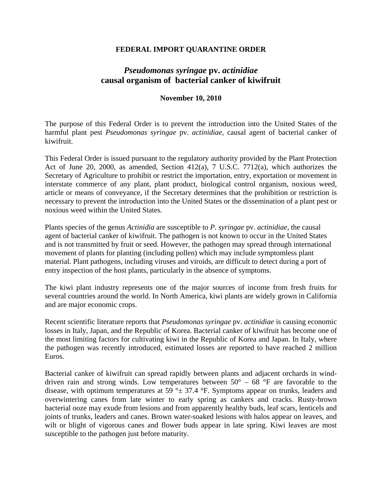### **FEDERAL IMPORT QUARANTINE ORDER**

# *Pseudomonas syringae* **pv.** *actinidiae*  **causal organism of bacterial canker of kiwifruit**

### **November 10, 2010**

The purpose of this Federal Order is to prevent the introduction into the United States of the harmful plant pest *Pseudomonas syringae* pv. *actinidiae,* causal agent of bacterial canker of kiwifruit.

This Federal Order is issued pursuant to the regulatory authority provided by the Plant Protection Act of June 20, 2000, as amended, Section 412(a), 7 U.S.C. 7712(a), which authorizes the Secretary of Agriculture to prohibit or restrict the importation, entry, exportation or movement in interstate commerce of any plant, plant product, biological control organism, noxious weed, article or means of conveyance, if the Secretary determines that the prohibition or restriction is necessary to prevent the introduction into the United States or the dissemination of a plant pest or noxious weed within the United States.

Plants species of the genus *Actinidia* are susceptible to *P. syringae* pv. *actinidiae,* the causal agent of bacterial canker of kiwifruit. The pathogen is not known to occur in the United States and is not transmitted by fruit or seed. However, the pathogen may spread through international movement of plants for planting (including pollen) which may include symptomless plant material. Plant pathogens, including viruses and viroids, are difficult to detect during a port of entry inspection of the host plants, particularly in the absence of symptoms.

The kiwi plant industry represents one of the major sources of income from fresh fruits for several countries around the world. In North America, kiwi plants are widely grown in California and are major economic crops.

Recent scientific literature reports that *Pseudomonas syringae* pv. *actinidiae* is causing economic losses in Italy, Japan, and the Republic of Korea. Bacterial canker of kiwifruit has become one of the most limiting factors for cultivating kiwi in the Republic of Korea and Japan. In Italy, where the pathogen was recently introduced, estimated losses are reported to have reached 2 million Euros.

Bacterial canker of kiwifruit can spread rapidly between plants and adjacent orchards in winddriven rain and strong winds. Low temperatures between  $50^{\circ}$  –  $68^{\circ}$ F are favorable to the disease, with optimum temperatures at 59  $\degree$   $\pm$  37.4  $\degree$ F. Symptoms appear on trunks, leaders and overwintering canes from late winter to early spring as cankers and cracks. Rusty-brown bacterial ooze may exude from lesions and from apparently healthy buds, leaf scars, lenticels and joints of trunks, leaders and canes. Brown water-soaked lesions with halos appear on leaves, and wilt or blight of vigorous canes and flower buds appear in late spring. Kiwi leaves are most susceptible to the pathogen just before maturity.